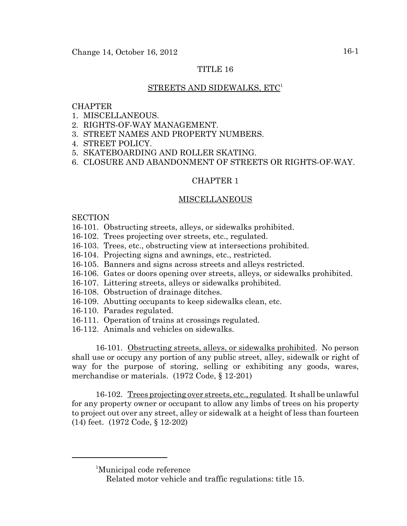## TITLE 16

### STREETS AND SIDEWALKS, ETC<sup>1</sup>

#### **CHAPTER**

- 1. MISCELLANEOUS.
- 2. RIGHTS-OF-WAY MANAGEMENT.
- 3. STREET NAMES AND PROPERTY NUMBERS.
- 4. STREET POLICY.
- 5. SKATEBOARDING AND ROLLER SKATING.
- 6. CLOSURE AND ABANDONMENT OF STREETS OR RIGHTS-OF-WAY.

## CHAPTER 1

#### MISCELLANEOUS

**SECTION** 

- 16-101. Obstructing streets, alleys, or sidewalks prohibited.
- 16-102. Trees projecting over streets, etc., regulated.
- 16-103. Trees, etc., obstructing view at intersections prohibited.
- 16-104. Projecting signs and awnings, etc., restricted.
- 16-105. Banners and signs across streets and alleys restricted.
- 16-106. Gates or doors opening over streets, alleys, or sidewalks prohibited.
- 16-107. Littering streets, alleys or sidewalks prohibited.
- 16-108. Obstruction of drainage ditches.
- 16-109. Abutting occupants to keep sidewalks clean, etc.
- 16-110. Parades regulated.
- 16-111. Operation of trains at crossings regulated.
- 16-112. Animals and vehicles on sidewalks.

16-101. Obstructing streets, alleys, or sidewalks prohibited. No person shall use or occupy any portion of any public street, alley, sidewalk or right of way for the purpose of storing, selling or exhibiting any goods, wares, merchandise or materials. (1972 Code, § 12-201)

16-102. Trees projecting over streets, etc., regulated. It shall be unlawful for any property owner or occupant to allow any limbs of trees on his property to project out over any street, alley or sidewalk at a height of less than fourteen (14) feet. (1972 Code, § 12-202)

<sup>1</sup> Municipal code reference

Related motor vehicle and traffic regulations: title 15.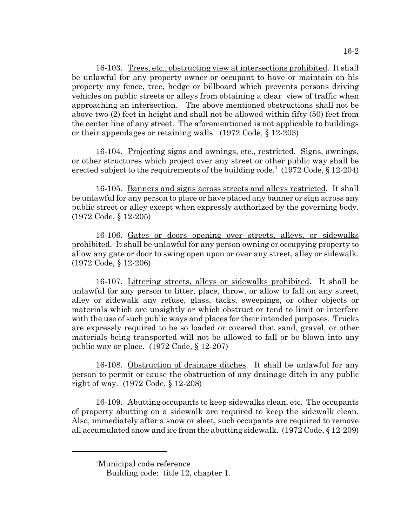16-103. Trees, etc., obstructing view at intersections prohibited. It shall be unlawful for any property owner or occupant to have or maintain on his property any fence, tree, hedge or billboard which prevents persons driving vehicles on public streets or alleys from obtaining a clear view of traffic when approaching an intersection. The above mentioned obstructions shall not be above two (2) feet in height and shall not be allowed within fifty (50) feet from the center line of any street. The aforementioned is not applicable to buildings or their appendages or retaining walls. (1972 Code, § 12-203)

16-104. Projecting signs and awnings, etc., restricted. Signs, awnings, or other structures which project over any street or other public way shall be erected subject to the requirements of the building code.<sup>1</sup> (1972 Code, § 12-204)

16-105. Banners and signs across streets and alleys restricted. It shall be unlawful for any person to place or have placed any banner or sign across any public street or alley except when expressly authorized by the governing body. (1972 Code, § 12-205)

16-106. Gates or doors opening over streets, alleys, or sidewalks prohibited. It shall be unlawful for any person owning or occupying property to allow any gate or door to swing open upon or over any street, alley or sidewalk. (1972 Code, § 12-206)

16-107. Littering streets, alleys or sidewalks prohibited. It shall be unlawful for any person to litter, place, throw, or allow to fall on any street, alley or sidewalk any refuse, glass, tacks, sweepings, or other objects or materials which are unsightly or which obstruct or tend to limit or interfere with the use of such public ways and places for their intended purposes. Trucks are expressly required to be so loaded or covered that sand, gravel, or other materials being transported will not be allowed to fall or be blown into any public way or place. (1972 Code, § 12-207)

16-108. Obstruction of drainage ditches. It shall be unlawful for any person to permit or cause the obstruction of any drainage ditch in any public right of way. (1972 Code, § 12-208)

16-109. Abutting occupants to keep sidewalks clean, etc. The occupants of property abutting on a sidewalk are required to keep the sidewalk clean. Also, immediately after a snow or sleet, such occupants are required to remove all accumulated snow and ice from the abutting sidewalk. (1972 Code, § 12-209)

<sup>1</sup> Municipal code reference

Building code: title 12, chapter 1.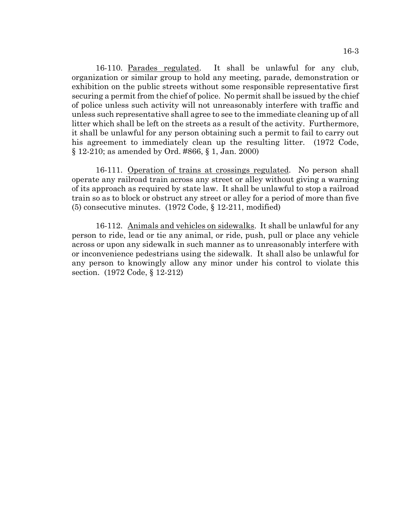16-110. Parades regulated. It shall be unlawful for any club, organization or similar group to hold any meeting, parade, demonstration or exhibition on the public streets without some responsible representative first securing a permit from the chief of police. No permit shall be issued by the chief of police unless such activity will not unreasonably interfere with traffic and unless such representative shall agree to see to the immediate cleaning up of all litter which shall be left on the streets as a result of the activity. Furthermore, it shall be unlawful for any person obtaining such a permit to fail to carry out his agreement to immediately clean up the resulting litter. (1972 Code, § 12-210; as amended by Ord. #866, § 1, Jan. 2000)

16-111. Operation of trains at crossings regulated. No person shall operate any railroad train across any street or alley without giving a warning of its approach as required by state law. It shall be unlawful to stop a railroad train so as to block or obstruct any street or alley for a period of more than five (5) consecutive minutes. (1972 Code, § 12-211, modified)

16-112. Animals and vehicles on sidewalks. It shall be unlawful for any person to ride, lead or tie any animal, or ride, push, pull or place any vehicle across or upon any sidewalk in such manner as to unreasonably interfere with or inconvenience pedestrians using the sidewalk. It shall also be unlawful for any person to knowingly allow any minor under his control to violate this section. (1972 Code, § 12-212)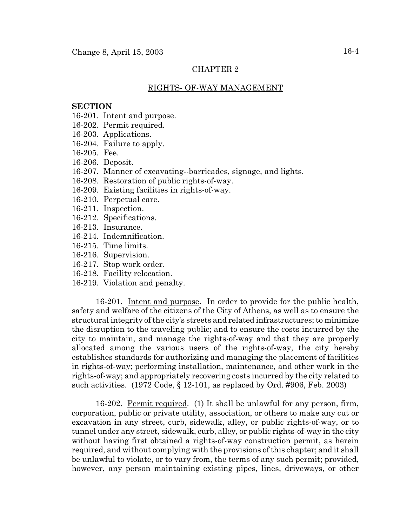#### RIGHTS- OF-WAY MANAGEMENT

#### **SECTION**

- 16-201. Intent and purpose.
- 16-202. Permit required.
- 16-203. Applications.
- 16-204. Failure to apply.
- 16-205. Fee.
- 16-206. Deposit.
- 16-207. Manner of excavating--barricades, signage, and lights.
- 16-208. Restoration of public rights-of-way.
- 16-209. Existing facilities in rights-of-way.
- 16-210. Perpetual care.
- 16-211. Inspection.
- 16-212. Specifications.
- 16-213. Insurance.
- 16-214. Indemnification.
- 16-215. Time limits.
- 16-216. Supervision.
- 16-217. Stop work order.
- 16-218. Facility relocation.
- 16-219. Violation and penalty.

16-201. Intent and purpose. In order to provide for the public health, safety and welfare of the citizens of the City of Athens, as well as to ensure the structural integrity of the city's streets and related infrastructures; to minimize the disruption to the traveling public; and to ensure the costs incurred by the city to maintain, and manage the rights-of-way and that they are properly allocated among the various users of the rights-of-way, the city hereby establishes standards for authorizing and managing the placement of facilities in rights-of-way; performing installation, maintenance, and other work in the rights-of-way; and appropriately recovering costs incurred by the city related to such activities. (1972 Code, § 12-101, as replaced by Ord. #906, Feb. 2003)

16-202. Permit required. (1) It shall be unlawful for any person, firm, corporation, public or private utility, association, or others to make any cut or excavation in any street, curb, sidewalk, alley, or public rights-of-way, or to tunnel under any street, sidewalk, curb, alley, or public rights-of-way in the city without having first obtained a rights-of-way construction permit, as herein required, and without complying with the provisions of this chapter; and it shall be unlawful to violate, or to vary from, the terms of any such permit; provided, however, any person maintaining existing pipes, lines, driveways, or other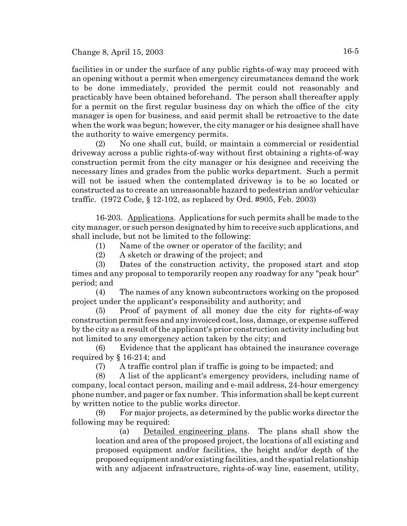facilities in or under the surface of any public rights-of-way may proceed with an opening without a permit when emergency circumstances demand the work to be done immediately, provided the permit could not reasonably and practicably have been obtained beforehand. The person shall thereafter apply for a permit on the first regular business day on which the office of the city manager is open for business, and said permit shall be retroactive to the date when the work was begun; however, the city manager or his designee shall have the authority to waive emergency permits.

(2) No one shall cut, build, or maintain a commercial or residential driveway across a public rights-of-way without first obtaining a rights-of-way construction permit from the city manager or his designee and receiving the necessary lines and grades from the public works department. Such a permit will not be issued when the contemplated driveway is to be so located or constructed as to create an unreasonable hazard to pedestrian and/or vehicular traffic. (1972 Code, § 12-102, as replaced by Ord. #905, Feb. 2003)

16-203. Applications. Applications for such permits shall be made to the city manager, or such person designated by him to receive such applications, and shall include, but not be limited to the following:

- (1) Name of the owner or operator of the facility; and
- (2) A sketch or drawing of the project; and

(3) Dates of the construction activity, the proposed start and stop times and any proposal to temporarily reopen any roadway for any "peak hour" period; and

(4) The names of any known subcontractors working on the proposed project under the applicant's responsibility and authority; and

(5) Proof of payment of all money due the city for rights-of-way construction permit fees and any invoiced cost, loss, damage, or expense suffered by the city as a result of the applicant's prior construction activity including but not limited to any emergency action taken by the city; and

(6) Evidence that the applicant has obtained the insurance coverage required by § 16-214; and

(7) A traffic control plan if traffic is going to be impacted; and

(8) A list of the applicant's emergency providers, including name of company, local contact person, mailing and e-mail address, 24-hour emergency phone number, and pager or fax number. This information shall be kept current by written notice to the public works director.

(9) For major projects, as determined by the public works director the following may be required:

(a) Detailed engineering plans. The plans shall show the location and area of the proposed project, the locations of all existing and proposed equipment and/or facilities, the height and/or depth of the proposed equipment and/or existing facilities, and the spatial relationship with any adjacent infrastructure, rights-of-way line, easement, utility,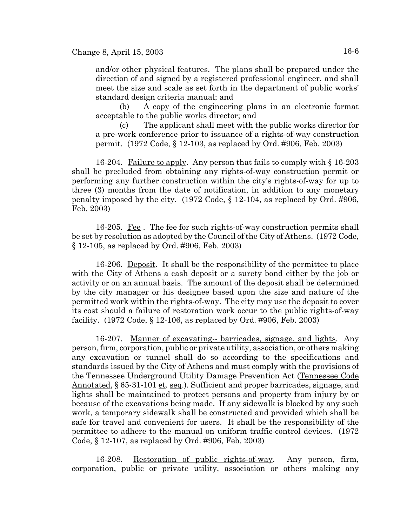and/or other physical features. The plans shall be prepared under the direction of and signed by a registered professional engineer, and shall meet the size and scale as set forth in the department of public works' standard design criteria manual; and

(b) A copy of the engineering plans in an electronic format acceptable to the public works director; and

(c) The applicant shall meet with the public works director for a pre-work conference prior to issuance of a rights-of-way construction permit. (1972 Code, § 12-103, as replaced by Ord. #906, Feb. 2003)

16-204. Failure to apply. Any person that fails to comply with § 16-203 shall be precluded from obtaining any rights-of-way construction permit or performing any further construction within the city's rights-of-way for up to three (3) months from the date of notification, in addition to any monetary penalty imposed by the city. (1972 Code, § 12-104, as replaced by Ord. #906, Feb. 2003)

16-205. Fee . The fee for such rights-of-way construction permits shall be set by resolution as adopted by the Council of the City of Athens. (1972 Code, § 12-105, as replaced by Ord. #906, Feb. 2003)

16-206. Deposit. It shall be the responsibility of the permittee to place with the City of Athens a cash deposit or a surety bond either by the job or activity or on an annual basis. The amount of the deposit shall be determined by the city manager or his designee based upon the size and nature of the permitted work within the rights-of-way. The city may use the deposit to cover its cost should a failure of restoration work occur to the public rights-of-way facility. (1972 Code, § 12-106, as replaced by Ord. #906, Feb. 2003)

16-207. Manner of excavating-- barricades, signage, and lights. Any person, firm, corporation, public or private utility, association, or others making any excavation or tunnel shall do so according to the specifications and standards issued by the City of Athens and must comply with the provisions of the Tennessee Underground Utility Damage Prevention Act (Tennessee Code Annotated, § 65-31-101 et. seq.). Sufficient and proper barricades, signage, and lights shall be maintained to protect persons and property from injury by or because of the excavations being made. If any sidewalk is blocked by any such work, a temporary sidewalk shall be constructed and provided which shall be safe for travel and convenient for users. It shall be the responsibility of the permittee to adhere to the manual on uniform traffic-control devices. (1972 Code, § 12-107, as replaced by Ord. #906, Feb. 2003)

16-208. Restoration of public rights-of-way. Any person, firm, corporation, public or private utility, association or others making any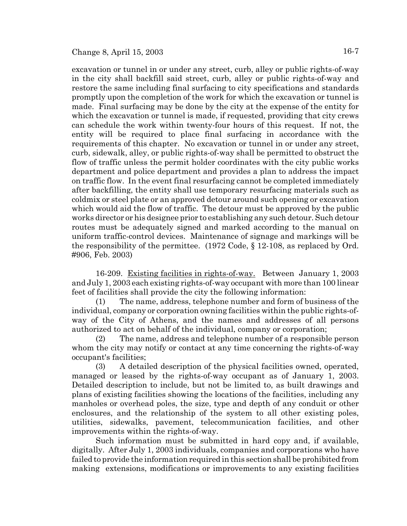excavation or tunnel in or under any street, curb, alley or public rights-of-way in the city shall backfill said street, curb, alley or public rights-of-way and restore the same including final surfacing to city specifications and standards promptly upon the completion of the work for which the excavation or tunnel is made. Final surfacing may be done by the city at the expense of the entity for which the excavation or tunnel is made, if requested, providing that city crews can schedule the work within twenty-four hours of this request. If not, the entity will be required to place final surfacing in accordance with the requirements of this chapter. No excavation or tunnel in or under any street, curb, sidewalk, alley, or public rights-of-way shall be permitted to obstruct the flow of traffic unless the permit holder coordinates with the city public works department and police department and provides a plan to address the impact on traffic flow. In the event final resurfacing cannot be completed immediately after backfilling, the entity shall use temporary resurfacing materials such as coldmix or steel plate or an approved detour around such opening or excavation which would aid the flow of traffic. The detour must be approved by the public works director or his designee prior to establishing any such detour. Such detour routes must be adequately signed and marked according to the manual on uniform traffic-control devices. Maintenance of signage and markings will be the responsibility of the permittee. (1972 Code, § 12-108, as replaced by Ord. #906, Feb. 2003)

16-209. Existing facilities in rights-of-way. Between January 1, 2003 and July 1, 2003 each existing rights-of-way occupant with more than 100 linear feet of facilities shall provide the city the following information:

(1) The name, address, telephone number and form of business of the individual, company or corporation owning facilities within the public rights-ofway of the City of Athens, and the names and addresses of all persons authorized to act on behalf of the individual, company or corporation;

(2) The name, address and telephone number of a responsible person whom the city may notify or contact at any time concerning the rights-of-way occupant's facilities;

(3) A detailed description of the physical facilities owned, operated, managed or leased by the rights-of-way occupant as of January 1, 2003. Detailed description to include, but not be limited to, as built drawings and plans of existing facilities showing the locations of the facilities, including any manholes or overhead poles, the size, type and depth of any conduit or other enclosures, and the relationship of the system to all other existing poles, utilities, sidewalks, pavement, telecommunication facilities, and other improvements within the rights-of-way.

Such information must be submitted in hard copy and, if available, digitally. After July 1, 2003 individuals, companies and corporations who have failed to provide the information required in this section shall be prohibited from making extensions, modifications or improvements to any existing facilities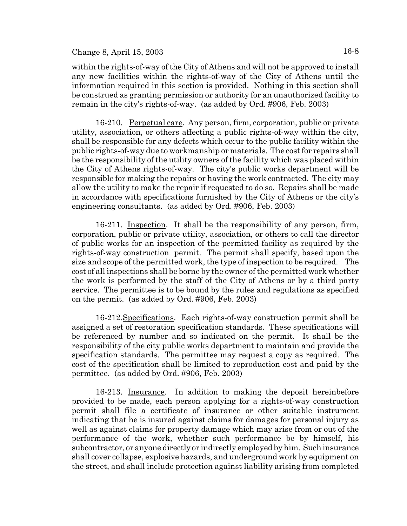within the rights-of-way of the City of Athens and will not be approved to install any new facilities within the rights-of-way of the City of Athens until the information required in this section is provided. Nothing in this section shall be construed as granting permission or authority for an unauthorized facility to remain in the city's rights-of-way. (as added by Ord. #906, Feb. 2003)

16-210. Perpetual care. Any person, firm, corporation, public or private utility, association, or others affecting a public rights-of-way within the city, shall be responsible for any defects which occur to the public facility within the public rights-of-way due to workmanship or materials. The cost for repairs shall be the responsibility of the utility owners of the facility which was placed within the City of Athens rights-of-way. The city's public works department will be responsible for making the repairs or having the work contracted. The city may allow the utility to make the repair if requested to do so. Repairs shall be made in accordance with specifications furnished by the City of Athens or the city's engineering consultants. (as added by Ord. #906, Feb. 2003)

16-211. Inspection. It shall be the responsibility of any person, firm, corporation, public or private utility, association, or others to call the director of public works for an inspection of the permitted facility as required by the rights-of-way construction permit. The permit shall specify, based upon the size and scope of the permitted work, the type of inspection to be required. The cost of all inspections shall be borne by the owner of the permitted work whether the work is performed by the staff of the City of Athens or by a third party service. The permittee is to be bound by the rules and regulations as specified on the permit. (as added by Ord. #906, Feb. 2003)

16-212.Specifications. Each rights-of-way construction permit shall be assigned a set of restoration specification standards. These specifications will be referenced by number and so indicated on the permit. It shall be the responsibility of the city public works department to maintain and provide the specification standards. The permittee may request a copy as required. The cost of the specification shall be limited to reproduction cost and paid by the permittee. (as added by Ord. #906, Feb. 2003)

16-213. Insurance. In addition to making the deposit hereinbefore provided to be made, each person applying for a rights-of-way construction permit shall file a certificate of insurance or other suitable instrument indicating that he is insured against claims for damages for personal injury as well as against claims for property damage which may arise from or out of the performance of the work, whether such performance be by himself, his subcontractor, or anyone directly or indirectly employed by him. Such insurance shall cover collapse, explosive hazards, and underground work by equipment on the street, and shall include protection against liability arising from completed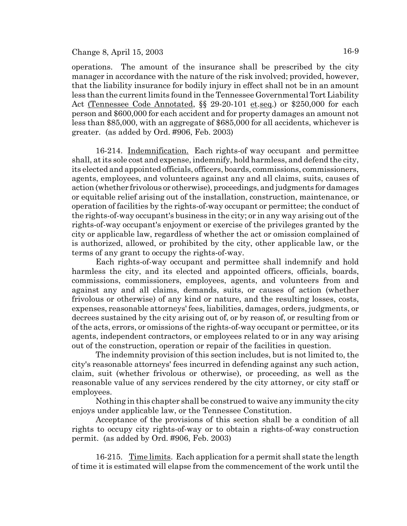operations. The amount of the insurance shall be prescribed by the city manager in accordance with the nature of the risk involved; provided, however, that the liability insurance for bodily injury in effect shall not be in an amount less than the current limits found in the Tennessee Governmental Tort Liability Act (Tennessee Code Annotated, §§ 29-20-101 et.seq.) or \$250,000 for each person and \$600,000 for each accident and for property damages an amount not less than \$85,000, with an aggregate of \$685,000 for all accidents, whichever is greater. (as added by Ord. #906, Feb. 2003)

16-214. Indemnification. Each rights-of way occupant and permittee shall, at its sole cost and expense, indemnify, hold harmless, and defend the city, its elected and appointed officials, officers, boards, commissions, commissioners, agents, employees, and volunteers against any and all claims, suits, causes of action (whether frivolous or otherwise), proceedings, and judgments for damages or equitable relief arising out of the installation, construction, maintenance, or operation of facilities by the rights-of-way occupant or permittee; the conduct of the rights-of-way occupant's business in the city; or in any way arising out of the rights-of-way occupant's enjoyment or exercise of the privileges granted by the city or applicable law, regardless of whether the act or omission complained of is authorized, allowed, or prohibited by the city, other applicable law, or the terms of any grant to occupy the rights-of-way.

Each rights-of-way occupant and permittee shall indemnify and hold harmless the city, and its elected and appointed officers, officials, boards, commissions, commissioners, employees, agents, and volunteers from and against any and all claims, demands, suits, or causes of action (whether frivolous or otherwise) of any kind or nature, and the resulting losses, costs, expenses, reasonable attorneys' fees, liabilities, damages, orders, judgments, or decrees sustained by the city arising out of, or by reason of, or resulting from or of the acts, errors, or omissions of the rights-of-way occupant or permittee, or its agents, independent contractors, or employees related to or in any way arising out of the construction, operation or repair of the facilities in question.

The indemnity provision of this section includes, but is not limited to, the city's reasonable attorneys' fees incurred in defending against any such action, claim, suit (whether frivolous or otherwise), or proceeding, as well as the reasonable value of any services rendered by the city attorney, or city staff or employees.

Nothing in this chapter shall be construed to waive any immunity the city enjoys under applicable law, or the Tennessee Constitution.

Acceptance of the provisions of this section shall be a condition of all rights to occupy city rights-of-way or to obtain a rights-of-way construction permit. (as added by Ord. #906, Feb. 2003)

16-215. Time limits. Each application for a permit shall state the length of time it is estimated will elapse from the commencement of the work until the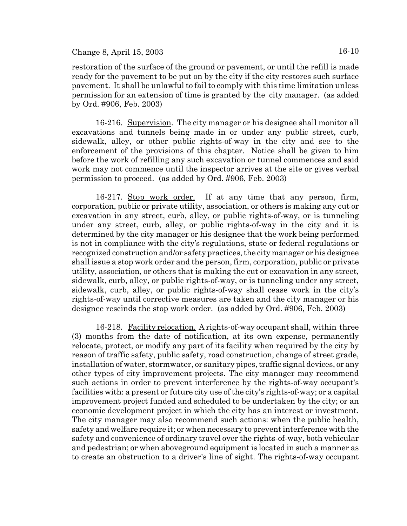restoration of the surface of the ground or pavement, or until the refill is made ready for the pavement to be put on by the city if the city restores such surface pavement. It shall be unlawful to fail to comply with this time limitation unless permission for an extension of time is granted by the city manager. (as added by Ord. #906, Feb. 2003)

16-216. Supervision. The city manager or his designee shall monitor all excavations and tunnels being made in or under any public street, curb, sidewalk, alley, or other public rights-of-way in the city and see to the enforcement of the provisions of this chapter. Notice shall be given to him before the work of refilling any such excavation or tunnel commences and said work may not commence until the inspector arrives at the site or gives verbal permission to proceed. (as added by Ord. #906, Feb. 2003)

16-217. Stop work order. If at any time that any person, firm, corporation, public or private utility, association, or others is making any cut or excavation in any street, curb, alley, or public rights-of-way, or is tunneling under any street, curb, alley, or public rights-of-way in the city and it is determined by the city manager or his designee that the work being performed is not in compliance with the city's regulations, state or federal regulations or recognized construction and/or safety practices, the city manager or his designee shall issue a stop work order and the person, firm, corporation, public or private utility, association, or others that is making the cut or excavation in any street, sidewalk, curb, alley, or public rights-of-way, or is tunneling under any street, sidewalk, curb, alley, or public rights-of-way shall cease work in the city's rights-of-way until corrective measures are taken and the city manager or his designee rescinds the stop work order. (as added by Ord. #906, Feb. 2003)

16-218. Facility relocation. A rights-of-way occupant shall, within three (3) months from the date of notification, at its own expense, permanently relocate, protect, or modify any part of its facility when required by the city by reason of traffic safety, public safety, road construction, change of street grade, installation of water, stormwater, or sanitary pipes, traffic signal devices, or any other types of city improvement projects. The city manager may recommend such actions in order to prevent interference by the rights-of-way occupant's facilities with: a present or future city use of the city's rights-of-way; or a capital improvement project funded and scheduled to be undertaken by the city; or an economic development project in which the city has an interest or investment. The city manager may also recommend such actions: when the public health, safety and welfare require it; or when necessary to prevent interference with the safety and convenience of ordinary travel over the rights-of-way, both vehicular and pedestrian; or when aboveground equipment is located in such a manner as to create an obstruction to a driver's line of sight. The rights-of-way occupant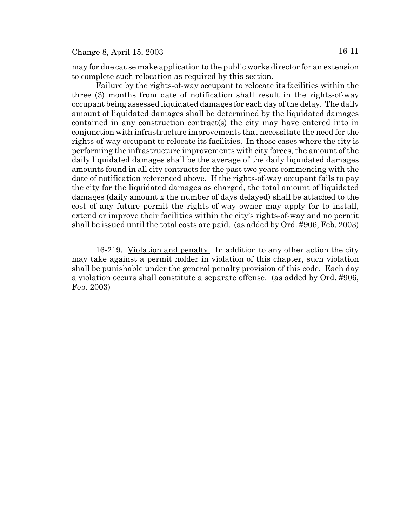may for due cause make application to the public works director for an extension to complete such relocation as required by this section.

Failure by the rights-of-way occupant to relocate its facilities within the three (3) months from date of notification shall result in the rights-of-way occupant being assessed liquidated damages for each day of the delay. The daily amount of liquidated damages shall be determined by the liquidated damages contained in any construction contract(s) the city may have entered into in conjunction with infrastructure improvements that necessitate the need for the rights-of-way occupant to relocate its facilities. In those cases where the city is performing the infrastructure improvements with city forces, the amount of the daily liquidated damages shall be the average of the daily liquidated damages amounts found in all city contracts for the past two years commencing with the date of notification referenced above. If the rights-of-way occupant fails to pay the city for the liquidated damages as charged, the total amount of liquidated damages (daily amount x the number of days delayed) shall be attached to the cost of any future permit the rights-of-way owner may apply for to install, extend or improve their facilities within the city's rights-of-way and no permit shall be issued until the total costs are paid. (as added by Ord. #906, Feb. 2003)

16-219. Violation and penalty. In addition to any other action the city may take against a permit holder in violation of this chapter, such violation shall be punishable under the general penalty provision of this code. Each day a violation occurs shall constitute a separate offense. (as added by Ord. #906, Feb. 2003)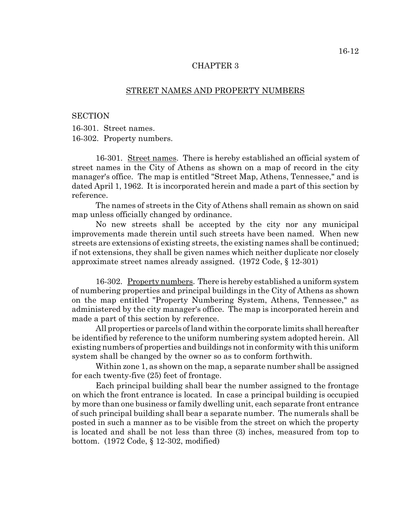#### STREET NAMES AND PROPERTY NUMBERS

#### **SECTION**

16-301. Street names. 16-302. Property numbers.

16-301. Street names. There is hereby established an official system of street names in the City of Athens as shown on a map of record in the city manager's office. The map is entitled "Street Map, Athens, Tennessee," and is dated April 1, 1962. It is incorporated herein and made a part of this section by reference.

The names of streets in the City of Athens shall remain as shown on said map unless officially changed by ordinance.

No new streets shall be accepted by the city nor any municipal improvements made therein until such streets have been named. When new streets are extensions of existing streets, the existing names shall be continued; if not extensions, they shall be given names which neither duplicate nor closely approximate street names already assigned. (1972 Code, § 12-301)

16-302. Property numbers. There is hereby established a uniform system of numbering properties and principal buildings in the City of Athens as shown on the map entitled "Property Numbering System, Athens, Tennessee," as administered by the city manager's office. The map is incorporated herein and made a part of this section by reference.

All properties or parcels of land within the corporate limits shall hereafter be identified by reference to the uniform numbering system adopted herein. All existing numbers of properties and buildings not in conformity with this uniform system shall be changed by the owner so as to conform forthwith.

Within zone 1, as shown on the map, a separate number shall be assigned for each twenty-five (25) feet of frontage.

Each principal building shall bear the number assigned to the frontage on which the front entrance is located. In case a principal building is occupied by more than one business or family dwelling unit, each separate front entrance of such principal building shall bear a separate number. The numerals shall be posted in such a manner as to be visible from the street on which the property is located and shall be not less than three (3) inches, measured from top to bottom. (1972 Code, § 12-302, modified)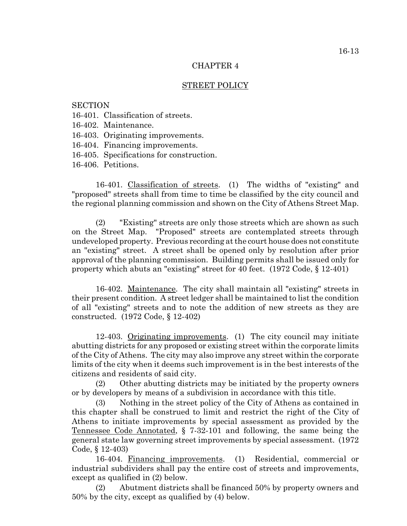### STREET POLICY

#### **SECTION**

- 16-401. Classification of streets.
- 16-402. Maintenance.
- 16-403. Originating improvements.
- 16-404. Financing improvements.
- 16-405. Specifications for construction.
- 16-406. Petitions.

16-401. Classification of streets. (1) The widths of "existing" and "proposed" streets shall from time to time be classified by the city council and the regional planning commission and shown on the City of Athens Street Map.

(2) "Existing" streets are only those streets which are shown as such on the Street Map. "Proposed" streets are contemplated streets through undeveloped property. Previous recording at the court house does not constitute an "existing" street. A street shall be opened only by resolution after prior approval of the planning commission. Building permits shall be issued only for property which abuts an "existing" street for 40 feet. (1972 Code, § 12-401)

16-402. Maintenance. The city shall maintain all "existing" streets in their present condition. A street ledger shall be maintained to list the condition of all "existing" streets and to note the addition of new streets as they are constructed. (1972 Code, § 12-402)

12-403. Originating improvements. (1) The city council may initiate abutting districts for any proposed or existing street within the corporate limits of the City of Athens. The city may also improve any street within the corporate limits of the city when it deems such improvement is in the best interests of the citizens and residents of said city.

(2) Other abutting districts may be initiated by the property owners or by developers by means of a subdivision in accordance with this title.

(3) Nothing in the street policy of the City of Athens as contained in this chapter shall be construed to limit and restrict the right of the City of Athens to initiate improvements by special assessment as provided by the Tennessee Code Annotated, § 7-32-101 and following, the same being the general state law governing street improvements by special assessment. (1972 Code, § 12-403)

16-404. Financing improvements. (1) Residential, commercial or industrial subdividers shall pay the entire cost of streets and improvements, except as qualified in (2) below.

(2) Abutment districts shall be financed 50% by property owners and 50% by the city, except as qualified by (4) below.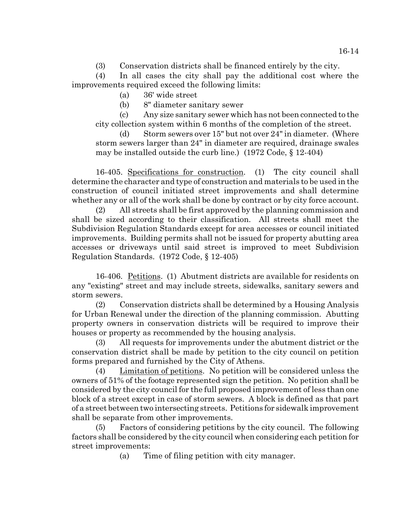(3) Conservation districts shall be financed entirely by the city.

(4) In all cases the city shall pay the additional cost where the improvements required exceed the following limits:

(a) 36' wide street

(b) 8" diameter sanitary sewer

(c) Any size sanitary sewer which has not been connected to the city collection system within 6 months of the completion of the street.

(d) Storm sewers over 15" but not over 24" in diameter. (Where storm sewers larger than 24" in diameter are required, drainage swales may be installed outside the curb line.) (1972 Code, § 12-404)

16-405. Specifications for construction. (1) The city council shall determine the character and type of construction and materials to be used in the construction of council initiated street improvements and shall determine whether any or all of the work shall be done by contract or by city force account.

(2) All streets shall be first approved by the planning commission and shall be sized according to their classification. All streets shall meet the Subdivision Regulation Standards except for area accesses or council initiated improvements. Building permits shall not be issued for property abutting area accesses or driveways until said street is improved to meet Subdivision Regulation Standards. (1972 Code, § 12-405)

16-406. Petitions. (1) Abutment districts are available for residents on any "existing" street and may include streets, sidewalks, sanitary sewers and storm sewers.

(2) Conservation districts shall be determined by a Housing Analysis for Urban Renewal under the direction of the planning commission. Abutting property owners in conservation districts will be required to improve their houses or property as recommended by the housing analysis.

(3) All requests for improvements under the abutment district or the conservation district shall be made by petition to the city council on petition forms prepared and furnished by the City of Athens.

(4) Limitation of petitions. No petition will be considered unless the owners of 51% of the footage represented sign the petition. No petition shall be considered by the city council for the full proposed improvement of less than one block of a street except in case of storm sewers. A block is defined as that part of a street between two intersecting streets. Petitions for sidewalk improvement shall be separate from other improvements.

(5) Factors of considering petitions by the city council. The following factors shall be considered by the city council when considering each petition for street improvements:

(a) Time of filing petition with city manager.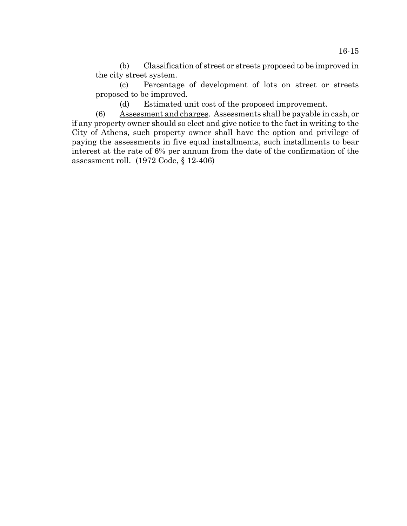(b) Classification of street or streets proposed to be improved in the city street system.

(c) Percentage of development of lots on street or streets proposed to be improved.

(d) Estimated unit cost of the proposed improvement.

(6) Assessment and charges. Assessments shall be payable in cash, or if any property owner should so elect and give notice to the fact in writing to the City of Athens, such property owner shall have the option and privilege of paying the assessments in five equal installments, such installments to bear interest at the rate of 6% per annum from the date of the confirmation of the assessment roll. (1972 Code, § 12-406)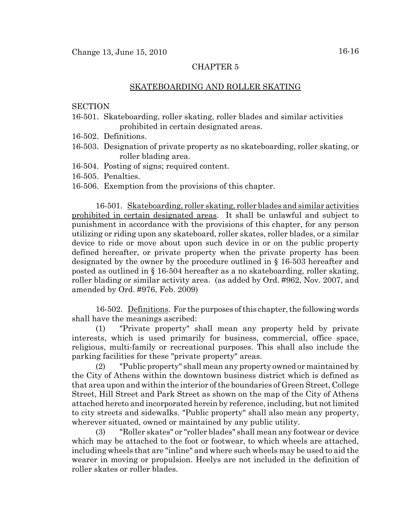### SKATEBOARDING AND ROLLER SKATING

### **SECTION**

- 16-501. Skateboarding, roller skating, roller blades and similar activities prohibited in certain designated areas.
- 16-502. Definitions.
- 16-503. Designation of private property as no skateboarding, roller skating, or roller blading area.
- 16-504. Posting of signs; required content.
- 16-505. Penalties.
- 16-506. Exemption from the provisions of this chapter.

16-501. Skateboarding, roller skating, roller blades and similar activities prohibited in certain designated areas. It shall be unlawful and subject to punishment in accordance with the provisions of this chapter, for any person utilizing or riding upon any skateboard, roller skates, roller blades, or a similar device to ride or move about upon such device in or on the public property defined hereafter, or private property when the private property has been designated by the owner by the procedure outlined in § 16-503 hereafter and posted as outlined in § 16-504 hereafter as a no skateboarding, roller skating, roller blading or similar activity area. (as added by Ord. #962, Nov. 2007, and amended by Ord. #976, Feb. 2009)

16-502. Definitions. For the purposes of this chapter, the following words shall have the meanings ascribed:

(1) "Private property" shall mean any property held by private interests, which is used primarily for business, commercial, office space, religious, multi-family or recreational purposes. This shall also include the parking facilities for these "private property" areas.

(2) "Public property" shall mean any property owned or maintained by the City of Athens within the downtown business district which is defined as that area upon and within the interior of the boundaries of Green Street, College Street, Hill Street and Park Street as shown on the map of the City of Athens attached hereto and incorporated herein by reference, including, but not limited to city streets and sidewalks. "Public property" shall also mean any property, wherever situated, owned or maintained by any public utility.

(3) "Roller skates" or "roller blades" shall mean any footwear or device which may be attached to the foot or footwear, to which wheels are attached, including wheels that are "inline" and where such wheels may be used to aid the wearer in moving or propulsion. Heelys are not included in the definition of roller skates or roller blades.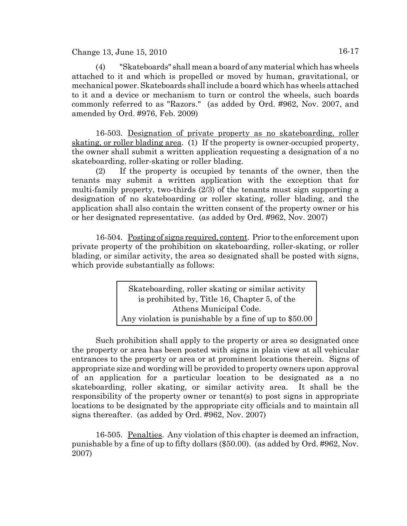$Change 13, June 15, 2010$   $16-17$ 

(4) "Skateboards" shall mean a board of any material which has wheels attached to it and which is propelled or moved by human, gravitational, or mechanical power. Skateboards shall include a board which has wheels attached to it and a device or mechanism to turn or control the wheels, such boards commonly referred to as "Razors." (as added by Ord. #962, Nov. 2007, and amended by Ord. #976, Feb. 2009)

16-503. Designation of private property as no skateboarding, roller skating, or roller blading area. (1) If the property is owner-occupied property, the owner shall submit a written application requesting a designation of a no skateboarding, roller-skating or roller blading.

(2) If the property is occupied by tenants of the owner, then the tenants may submit a written application with the exception that for multi-family property, two-thirds (2/3) of the tenants must sign supporting a designation of no skateboarding or roller skating, roller blading, and the application shall also contain the written consent of the property owner or his or her designated representative. (as added by Ord. #962, Nov. 2007)

16-504. Posting of signs required, content. Prior to the enforcement upon private property of the prohibition on skateboarding, roller-skating, or roller blading, or similar activity, the area so designated shall be posted with signs, which provide substantially as follows:

> Skateboarding, roller skating or similar activity is prohibited by, Title 16, Chapter 5, of the Athens Municipal Code. Any violation is punishable by a fine of up to \$50.00

Such prohibition shall apply to the property or area so designated once the property or area has been posted with signs in plain view at all vehicular entrances to the property or area or at prominent locations therein. Signs of appropriate size and wording will be provided to property owners upon approval of an application for a particular location to be designated as a no skateboarding, roller skating, or similar activity area. It shall be the responsibility of the property owner or tenant(s) to post signs in appropriate locations to be designated by the appropriate city officials and to maintain all signs thereafter. (as added by Ord. #962, Nov. 2007)

16-505. Penalties. Any violation of this chapter is deemed an infraction, punishable by a fine of up to fifty dollars (\$50.00). (as added by Ord. #962, Nov. 2007)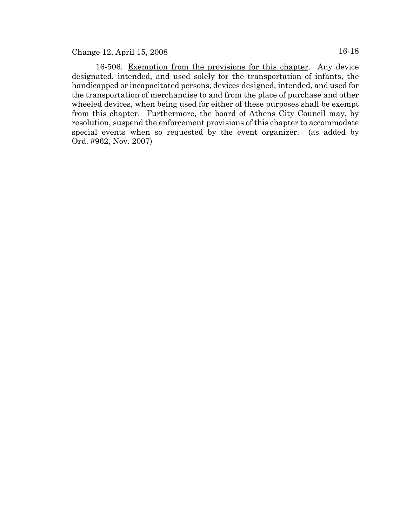16-506. Exemption from the provisions for this chapter. Any device designated, intended, and used solely for the transportation of infants, the handicapped or incapacitated persons, devices designed, intended, and used for the transportation of merchandise to and from the place of purchase and other wheeled devices, when being used for either of these purposes shall be exempt from this chapter. Furthermore, the board of Athens City Council may, by resolution, suspend the enforcement provisions of this chapter to accommodate special events when so requested by the event organizer. (as added by Ord. #962, Nov. 2007)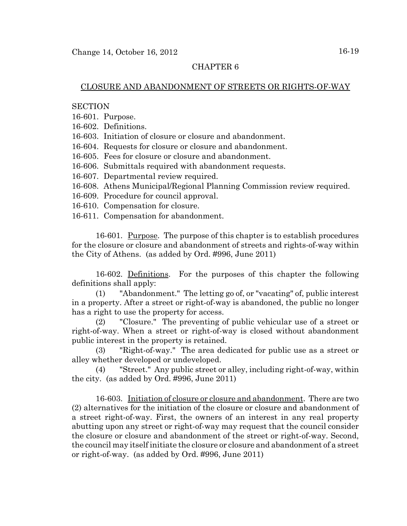# CLOSURE AND ABANDONMENT OF STREETS OR RIGHTS-OF-WAY

### **SECTION**

16-601. Purpose.

16-602. Definitions.

16-603. Initiation of closure or closure and abandonment.

16-604. Requests for closure or closure and abandonment.

16-605. Fees for closure or closure and abandonment.

16-606. Submittals required with abandonment requests.

16-607. Departmental review required.

16-608. Athens Municipal/Regional Planning Commission review required.

16-609. Procedure for council approval.

16-610. Compensation for closure.

16-611. Compensation for abandonment.

16-601. Purpose. The purpose of this chapter is to establish procedures for the closure or closure and abandonment of streets and rights-of-way within the City of Athens. (as added by Ord. #996, June 2011)

16-602. Definitions. For the purposes of this chapter the following definitions shall apply:

(1) "Abandonment." The letting go of, or "vacating" of, public interest in a property. After a street or right-of-way is abandoned, the public no longer has a right to use the property for access.

(2) "Closure." The preventing of public vehicular use of a street or right-of-way. When a street or right-of-way is closed without abandonment public interest in the property is retained.

(3) "Right-of-way." The area dedicated for public use as a street or alley whether developed or undeveloped.

(4) "Street." Any public street or alley, including right-of-way, within the city. (as added by Ord. #996, June 2011)

16-603. Initiation of closure or closure and abandonment. There are two (2) alternatives for the initiation of the closure or closure and abandonment of a street right-of-way. First, the owners of an interest in any real property abutting upon any street or right-of-way may request that the council consider the closure or closure and abandonment of the street or right-of-way. Second, the council may itself initiate the closure or closure and abandonment of a street or right-of-way. (as added by Ord. #996, June 2011)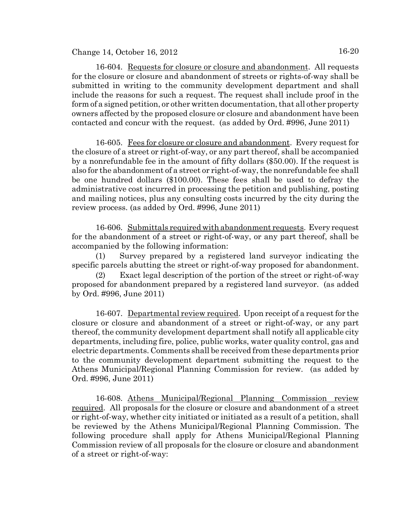Change 14, October 16, 2012 16-20

16-604. Requests for closure or closure and abandonment. All requests for the closure or closure and abandonment of streets or rights-of-way shall be submitted in writing to the community development department and shall include the reasons for such a request. The request shall include proof in the form of a signed petition, or other written documentation, that all other property owners affected by the proposed closure or closure and abandonment have been contacted and concur with the request. (as added by Ord. #996, June 2011)

16-605. Fees for closure or closure and abandonment. Every request for the closure of a street or right-of-way, or any part thereof, shall be accompanied by a nonrefundable fee in the amount of fifty dollars (\$50.00). If the request is also for the abandonment of a street or right-of-way, the nonrefundable fee shall be one hundred dollars (\$100.00). These fees shall be used to defray the administrative cost incurred in processing the petition and publishing, posting and mailing notices, plus any consulting costs incurred by the city during the review process. (as added by Ord. #996, June 2011)

16-606. Submittals required with abandonment requests. Every request for the abandonment of a street or right-of-way, or any part thereof, shall be accompanied by the following information:

(1) Survey prepared by a registered land surveyor indicating the specific parcels abutting the street or right-of-way proposed for abandonment.

Exact legal description of the portion of the street or right-of-way proposed for abandonment prepared by a registered land surveyor. (as added by Ord. #996, June 2011)

16-607. Departmental review required. Upon receipt of a request for the closure or closure and abandonment of a street or right-of-way, or any part thereof, the community development department shall notify all applicable city departments, including fire, police, public works, water quality control, gas and electric departments. Comments shall be received from these departments prior to the community development department submitting the request to the Athens Municipal/Regional Planning Commission for review. (as added by Ord. #996, June 2011)

16-608. Athens Municipal/Regional Planning Commission review required. All proposals for the closure or closure and abandonment of a street or right-of-way, whether city initiated or initiated as a result of a petition, shall be reviewed by the Athens Municipal/Regional Planning Commission. The following procedure shall apply for Athens Municipal/Regional Planning Commission review of all proposals for the closure or closure and abandonment of a street or right-of-way: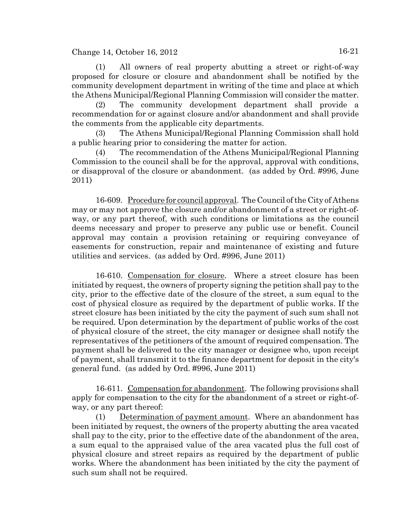Change 14, October 16, 2012 16-21

(1) All owners of real property abutting a street or right-of-way proposed for closure or closure and abandonment shall be notified by the community development department in writing of the time and place at which the Athens Municipal/Regional Planning Commission will consider the matter.

(2) The community development department shall provide a recommendation for or against closure and/or abandonment and shall provide the comments from the applicable city departments.

(3) The Athens Municipal/Regional Planning Commission shall hold a public hearing prior to considering the matter for action.

(4) The recommendation of the Athens Municipal/Regional Planning Commission to the council shall be for the approval, approval with conditions, or disapproval of the closure or abandonment. (as added by Ord. #996, June 2011)

16-609. Procedure for council approval. The Council of the City of Athens may or may not approve the closure and/or abandonment of a street or right-ofway, or any part thereof, with such conditions or limitations as the council deems necessary and proper to preserve any public use or benefit. Council approval may contain a provision retaining or requiring conveyance of easements for construction, repair and maintenance of existing and future utilities and services. (as added by Ord. #996, June 2011)

16-610. Compensation for closure. Where a street closure has been initiated by request, the owners of property signing the petition shall pay to the city, prior to the effective date of the closure of the street, a sum equal to the cost of physical closure as required by the department of public works. If the street closure has been initiated by the city the payment of such sum shall not be required. Upon determination by the department of public works of the cost of physical closure of the street, the city manager or designee shall notify the representatives of the petitioners of the amount of required compensation. The payment shall be delivered to the city manager or designee who, upon receipt of payment, shall transmit it to the finance department for deposit in the city's general fund. (as added by Ord. #996, June 2011)

16-611. Compensation for abandonment. The following provisions shall apply for compensation to the city for the abandonment of a street or right-ofway, or any part thereof:

(1) Determination of payment amount. Where an abandonment has been initiated by request, the owners of the property abutting the area vacated shall pay to the city, prior to the effective date of the abandonment of the area, a sum equal to the appraised value of the area vacated plus the full cost of physical closure and street repairs as required by the department of public works. Where the abandonment has been initiated by the city the payment of such sum shall not be required.